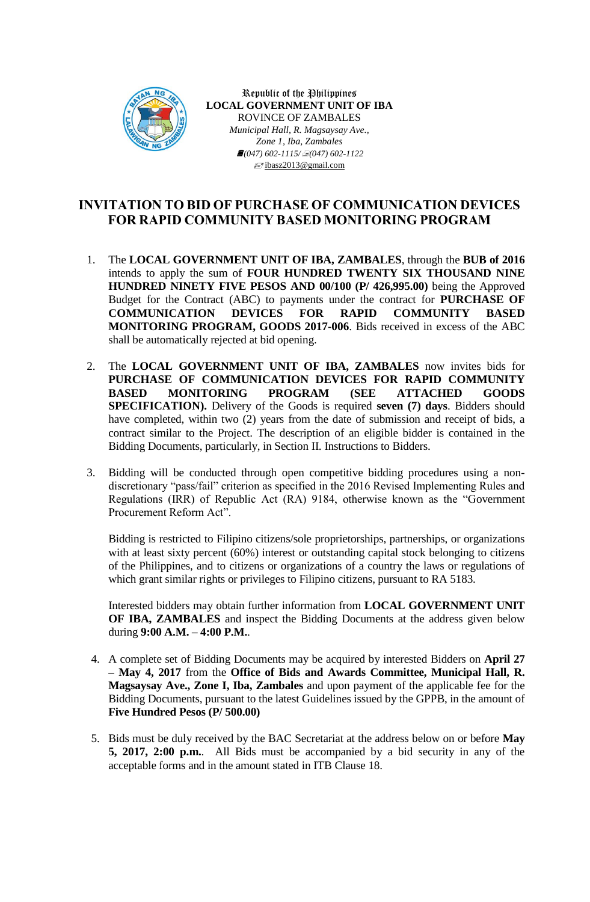

Republic of the Philippines **LOCAL GOVERNMENT UNIT OF IBA** ROVINCE OF ZAMBALES *Municipal Hall, R. Magsaysay Ave., Zone 1, Iba, Zambales (047) 602-1115/(047) 602-1122* ibasz2013@gmail.com

## **INVITATION TO BID OF PURCHASE OF COMMUNICATION DEVICES FOR RAPID COMMUNITY BASED MONITORING PROGRAM**

- 1. The **LOCAL GOVERNMENT UNIT OF IBA, ZAMBALES**, through the **BUB of 2016** intends to apply the sum of **FOUR HUNDRED TWENTY SIX THOUSAND NINE HUNDRED NINETY FIVE PESOS AND 00/100 (P/ 426,995.00)** being the Approved Budget for the Contract (ABC) to payments under the contract for **PURCHASE OF COMMUNICATION DEVICES FOR RAPID COMMUNITY BASED MONITORING PROGRAM, GOODS 2017-006**. Bids received in excess of the ABC shall be automatically rejected at bid opening.
- 2. The **LOCAL GOVERNMENT UNIT OF IBA, ZAMBALES** now invites bids for **PURCHASE OF COMMUNICATION DEVICES FOR RAPID COMMUNITY BASED MONITORING PROGRAM (SEE ATTACHED GOODS SPECIFICATION).** Delivery of the Goods is required **seven (7) days**. Bidders should have completed, within two (2) years from the date of submission and receipt of bids, a contract similar to the Project. The description of an eligible bidder is contained in the Bidding Documents, particularly, in Section II. Instructions to Bidders.
- 3. Bidding will be conducted through open competitive bidding procedures using a nondiscretionary "pass/fail" criterion as specified in the 2016 Revised Implementing Rules and Regulations (IRR) of Republic Act (RA) 9184, otherwise known as the "Government Procurement Reform Act".

Bidding is restricted to Filipino citizens/sole proprietorships, partnerships, or organizations with at least sixty percent (60%) interest or outstanding capital stock belonging to citizens of the Philippines, and to citizens or organizations of a country the laws or regulations of which grant similar rights or privileges to Filipino citizens, pursuant to RA 5183.

Interested bidders may obtain further information from **LOCAL GOVERNMENT UNIT OF IBA, ZAMBALES** and inspect the Bidding Documents at the address given below during **9:00 A.M. – 4:00 P.M.**.

- 4. A complete set of Bidding Documents may be acquired by interested Bidders on **April 27 – May 4, 2017** from the **Office of Bids and Awards Committee, Municipal Hall, R. Magsaysay Ave., Zone I, Iba, Zambales** and upon payment of the applicable fee for the Bidding Documents, pursuant to the latest Guidelines issued by the GPPB, in the amount of **Five Hundred Pesos (P/ 500.00)**
- 5. Bids must be duly received by the BAC Secretariat at the address below on or before **May 5, 2017, 2:00 p.m.**. All Bids must be accompanied by a bid security in any of the acceptable forms and in the amount stated in ITB Clause 18.